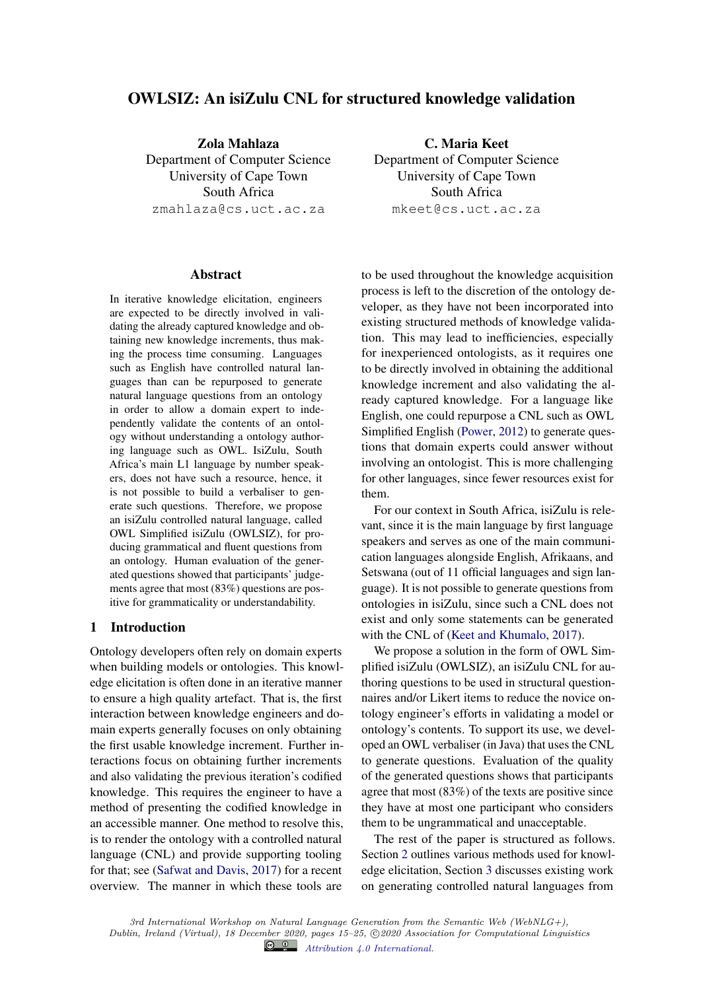# OWLSIZ: An isiZulu CNL for structured knowledge validation

Zola Mahlaza Department of Computer Science University of Cape Town South Africa zmahlaza@cs.uct.ac.za

#### Abstract

In iterative knowledge elicitation, engineers are expected to be directly involved in validating the already captured knowledge and obtaining new knowledge increments, thus making the process time consuming. Languages such as English have controlled natural languages than can be repurposed to generate natural language questions from an ontology in order to allow a domain expert to independently validate the contents of an ontology without understanding a ontology authoring language such as OWL. IsiZulu, South Africa's main L1 language by number speakers, does not have such a resource, hence, it is not possible to build a verbaliser to generate such questions. Therefore, we propose an isiZulu controlled natural language, called OWL Simplified isiZulu (OWLSIZ), for producing grammatical and fluent questions from an ontology. Human evaluation of the generated questions showed that participants' judgements agree that most (83%) questions are positive for grammaticality or understandability.

# 1 Introduction

Ontology developers often rely on domain experts when building models or ontologies. This knowledge elicitation is often done in an iterative manner to ensure a high quality artefact. That is, the first interaction between knowledge engineers and domain experts generally focuses on only obtaining the first usable knowledge increment. Further interactions focus on obtaining further increments and also validating the previous iteration's codified knowledge. This requires the engineer to have a method of presenting the codified knowledge in an accessible manner. One method to resolve this, is to render the ontology with a controlled natural language (CNL) and provide supporting tooling for that; see (Safwat and Davis, 2017) for a recent overview. The manner in which these tools are

C. Maria Keet Department of Computer Science University of Cape Town South Africa mkeet@cs.uct.ac.za

to be used throughout the knowledge acquisition process is left to the discretion of the ontology developer, as they have not been incorporated into existing structured methods of knowledge validation. This may lead to inefficiencies, especially for inexperienced ontologists, as it requires one to be directly involved in obtaining the additional knowledge increment and also validating the already captured knowledge. For a language like English, one could repurpose a CNL such as OWL Simplified English (Power, 2012) to generate questions that domain experts could answer without involving an ontologist. This is more challenging for other languages, since fewer resources exist for them.

For our context in South Africa, isiZulu is relevant, since it is the main language by first language speakers and serves as one of the main communication languages alongside English, Afrikaans, and Setswana (out of 11 official languages and sign language). It is not possible to generate questions from ontologies in isiZulu, since such a CNL does not exist and only some statements can be generated with the CNL of (Keet and Khumalo, 2017).

We propose a solution in the form of OWL Simplified isiZulu (OWLSIZ), an isiZulu CNL for authoring questions to be used in structural questionnaires and/or Likert items to reduce the novice ontology engineer's efforts in validating a model or ontology's contents. To support its use, we developed an OWL verbaliser (in Java) that uses the CNL to generate questions. Evaluation of the quality of the generated questions shows that participants agree that most (83%) of the texts are positive since they have at most one participant who considers them to be ungrammatical and unacceptable.

The rest of the paper is structured as follows. Section 2 outlines various methods used for knowledge elicitation, Section 3 discusses existing work on generating controlled natural languages from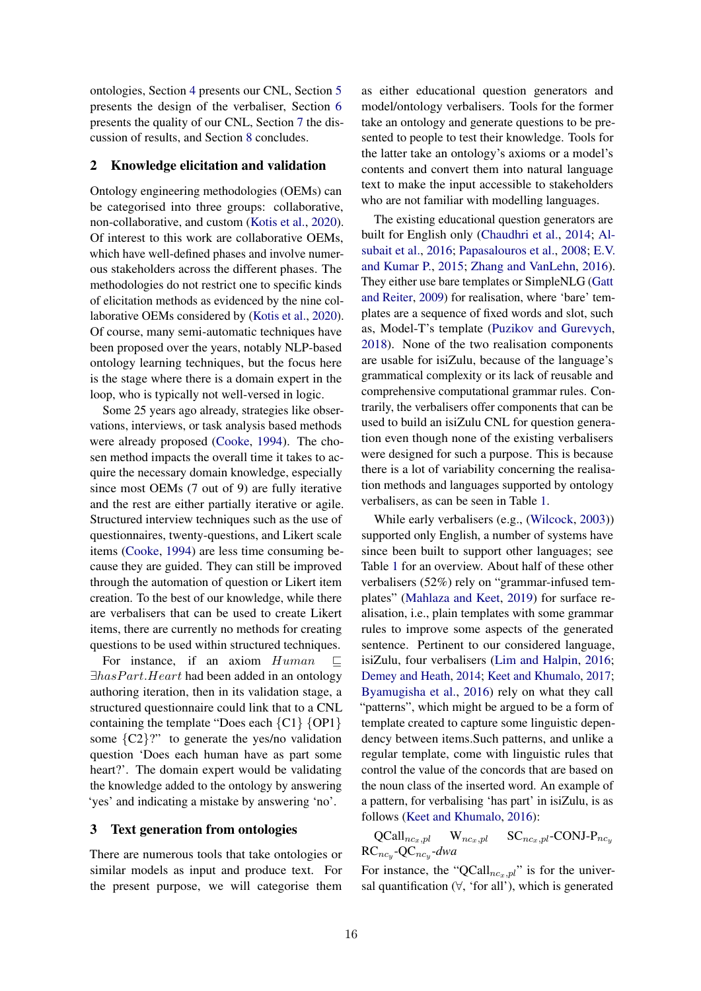ontologies, Section 4 presents our CNL, Section 5 presents the design of the verbaliser, Section 6 presents the quality of our CNL, Section 7 the discussion of results, and Section 8 concludes.

## 2 Knowledge elicitation and validation

Ontology engineering methodologies (OEMs) can be categorised into three groups: collaborative, non-collaborative, and custom (Kotis et al., 2020). Of interest to this work are collaborative OEMs, which have well-defined phases and involve numerous stakeholders across the different phases. The methodologies do not restrict one to specific kinds of elicitation methods as evidenced by the nine collaborative OEMs considered by (Kotis et al., 2020). Of course, many semi-automatic techniques have been proposed over the years, notably NLP-based ontology learning techniques, but the focus here is the stage where there is a domain expert in the loop, who is typically not well-versed in logic.

Some 25 years ago already, strategies like observations, interviews, or task analysis based methods were already proposed (Cooke, 1994). The chosen method impacts the overall time it takes to acquire the necessary domain knowledge, especially since most OEMs (7 out of 9) are fully iterative and the rest are either partially iterative or agile. Structured interview techniques such as the use of questionnaires, twenty-questions, and Likert scale items (Cooke, 1994) are less time consuming because they are guided. They can still be improved through the automation of question or Likert item creation. To the best of our knowledge, while there are verbalisers that can be used to create Likert items, there are currently no methods for creating questions to be used within structured techniques.

For instance, if an axiom  $Human \subseteq$  $\exists hasPart. Heart$  had been added in an ontology authoring iteration, then in its validation stage, a structured questionnaire could link that to a CNL containing the template "Does each  ${Cl}$   ${OP1}$ some  ${C2}$ ?" to generate the yes/no validation question 'Does each human have as part some heart?'. The domain expert would be validating the knowledge added to the ontology by answering 'yes' and indicating a mistake by answering 'no'.

# 3 Text generation from ontologies

There are numerous tools that take ontologies or similar models as input and produce text. For the present purpose, we will categorise them as either educational question generators and model/ontology verbalisers. Tools for the former take an ontology and generate questions to be presented to people to test their knowledge. Tools for the latter take an ontology's axioms or a model's contents and convert them into natural language text to make the input accessible to stakeholders who are not familiar with modelling languages.

The existing educational question generators are built for English only (Chaudhri et al., 2014; Alsubait et al., 2016; Papasalouros et al., 2008; E.V. and Kumar P., 2015; Zhang and VanLehn, 2016). They either use bare templates or SimpleNLG (Gatt and Reiter, 2009) for realisation, where 'bare' templates are a sequence of fixed words and slot, such as, Model-T's template (Puzikov and Gurevych, 2018). None of the two realisation components are usable for isiZulu, because of the language's grammatical complexity or its lack of reusable and comprehensive computational grammar rules. Contrarily, the verbalisers offer components that can be used to build an isiZulu CNL for question generation even though none of the existing verbalisers were designed for such a purpose. This is because there is a lot of variability concerning the realisation methods and languages supported by ontology verbalisers, as can be seen in Table 1.

While early verbalisers (e.g., (Wilcock, 2003)) supported only English, a number of systems have since been built to support other languages; see Table 1 for an overview. About half of these other verbalisers (52%) rely on "grammar-infused templates" (Mahlaza and Keet, 2019) for surface realisation, i.e., plain templates with some grammar rules to improve some aspects of the generated sentence. Pertinent to our considered language, isiZulu, four verbalisers (Lim and Halpin, 2016; Demey and Heath, 2014; Keet and Khumalo, 2017; Byamugisha et al., 2016) rely on what they call "patterns", which might be argued to be a form of template created to capture some linguistic dependency between items.Such patterns, and unlike a regular template, come with linguistic rules that control the value of the concords that are based on the noun class of the inserted word. An example of a pattern, for verbalising 'has part' in isiZulu, is as follows (Keet and Khumalo, 2016):

 $\text{QCall}_{nc_x,pl}$  W $_{nc_x,pl}$  SC<sub>ncx,pl</sub>-CONJ-P<sub>ncy</sub>  $RC_{nc_y}$ -Q $C_{nc_y}$ -dwa

For instance, the "QCall $_{nc_n,pl}$ " is for the universal quantification (∀, 'for all'), which is generated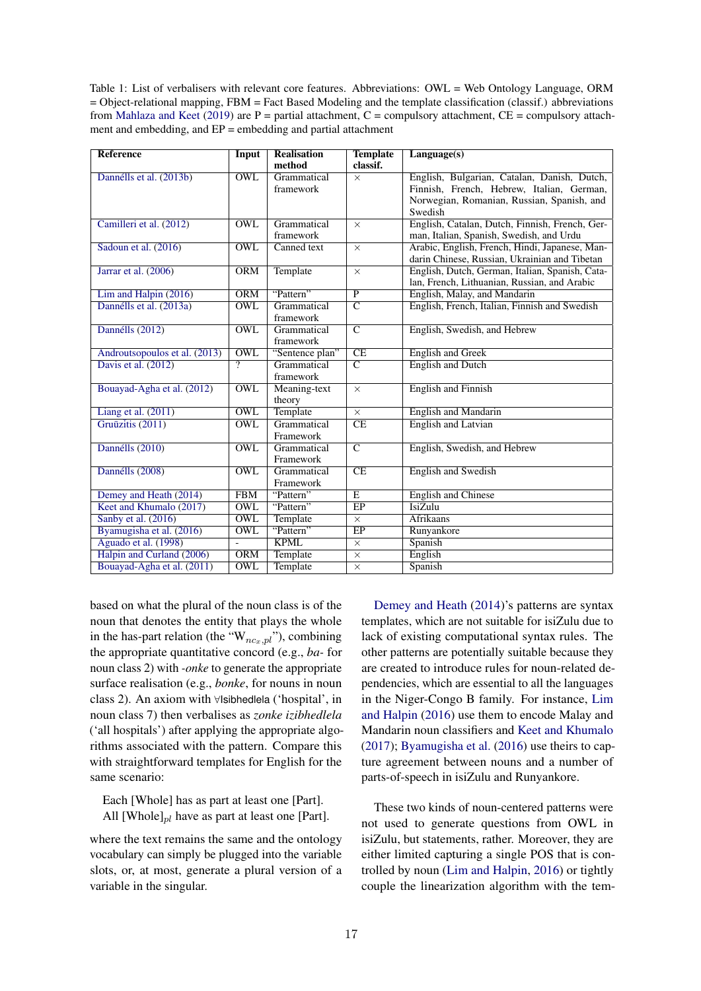Table 1: List of verbalisers with relevant core features. Abbreviations: OWL = Web Ontology Language, ORM = Object-relational mapping, FBM = Fact Based Modeling and the template classification (classif.) abbreviations from Mahlaza and Keet (2019) are  $P =$  partial attachment,  $C =$  compulsory attachment,  $CE =$  compulsory attachment and embedding, and EP = embedding and partial attachment

| <b>Reference</b>              | Input                   | <b>Realisation</b> | <b>Template</b>         | $L$ anguage $(s)$                               |  |
|-------------------------------|-------------------------|--------------------|-------------------------|-------------------------------------------------|--|
|                               |                         | method             | classif.                |                                                 |  |
| Dannélls et al. (2013b)       | <b>OWL</b>              | Grammatical        | $\times$                | English, Bulgarian, Catalan, Danish, Dutch,     |  |
|                               |                         | framework          |                         | Finnish, French, Hebrew, Italian, German,       |  |
|                               |                         |                    |                         | Norwegian, Romanian, Russian, Spanish, and      |  |
|                               |                         |                    |                         | Swedish                                         |  |
| Camilleri et al. (2012)       | <b>OWL</b>              | Grammatical        | $\times$                | English, Catalan, Dutch, Finnish, French, Ger-  |  |
|                               |                         | framework          |                         | man, Italian, Spanish, Swedish, and Urdu        |  |
| Sadoun et al. (2016)          | <b>OWL</b>              | Canned text        | $\times$                | Arabic, English, French, Hindi, Japanese, Man-  |  |
|                               |                         |                    |                         | darin Chinese, Russian, Ukrainian and Tibetan   |  |
| Jarrar et al. (2006)          | <b>ORM</b>              | Template           | $\times$                | English, Dutch, German, Italian, Spanish, Cata- |  |
|                               |                         |                    |                         | lan, French, Lithuanian, Russian, and Arabic    |  |
| Lim and Halpin (2016)         | <b>ORM</b>              | "Pattern"          | $\overline{P}$          | English, Malay, and Mandarin                    |  |
| Dannélls et al. (2013a)       | $\overline{\text{OWL}}$ | Grammatical        | $\overline{C}$          | English, French, Italian, Finnish and Swedish   |  |
|                               |                         | framework          |                         |                                                 |  |
| Dannélls (2012)               | OWL                     | Grammatical        | $\overline{\mathsf{C}}$ | English, Swedish, and Hebrew                    |  |
|                               |                         | framework          |                         |                                                 |  |
| Androutsopoulos et al. (2013) | <b>OWL</b>              | "Sentence plan"    | CE                      | <b>English and Greek</b>                        |  |
| Davis et al. (2012)           | $\overline{?}$          | Grammatical        | $\overline{\rm c}$      | <b>English and Dutch</b>                        |  |
|                               |                         | framework          |                         |                                                 |  |
| Bouayad-Agha et al. (2012)    | <b>OWL</b>              | Meaning-text       | $\times$                | <b>English and Finnish</b>                      |  |
|                               |                         | theory             |                         |                                                 |  |
| Liang et al. $(2011)$         | <b>OWL</b>              | Template           | $\times$                | <b>English and Mandarin</b>                     |  |
| Gruūzitis (2011)              | <b>OWL</b>              | Grammatical        | CE                      | English and Latvian                             |  |
|                               |                         | Framework          |                         |                                                 |  |
| Dannélls (2010)               | <b>OWL</b>              | Grammatical        | $\overline{C}$          | English, Swedish, and Hebrew                    |  |
|                               |                         | Framework          |                         |                                                 |  |
| Dannélls (2008)               | <b>OWL</b>              | Grammatical        | CE                      | <b>English and Swedish</b>                      |  |
|                               |                         | Framework          |                         |                                                 |  |
| Demey and Heath (2014)        | <b>FBM</b>              | "Pattern"          | E                       | <b>English and Chinese</b>                      |  |
| Keet and Khumalo (2017)       | <b>OWL</b>              | "Pattern"          | EP                      | IsiZulu                                         |  |
| Sanby et al. (2016)           | <b>OWL</b>              | Template           | $\times$                | <b>Afrikaans</b>                                |  |
| Byamugisha et al. (2016)      | <b>OWL</b>              | "Pattern"          | $E$ P                   | Runyankore                                      |  |
| Aguado et al. (1998)          | $\frac{1}{2}$           | <b>KPML</b>        | $\times$                | Spanish                                         |  |
| Halpin and Curland (2006)     | <b>ORM</b>              | Template           | $\times$                | English                                         |  |
| Bouayad-Agha et al. (2011)    | OWL                     | Template           | $\times$                | Spanish                                         |  |

based on what the plural of the noun class is of the noun that denotes the entity that plays the whole in the has-part relation (the " $W_{nc_r,p_l}$ "), combining the appropriate quantitative concord (e.g., *ba-* for noun class 2) with *-onke* to generate the appropriate surface realisation (e.g., *bonke*, for nouns in noun class 2). An axiom with <sup>∀</sup>Isibhedlela ('hospital', in noun class 7) then verbalises as *zonke izibhedlela* ('all hospitals') after applying the appropriate algorithms associated with the pattern. Compare this with straightforward templates for English for the same scenario:

Each [Whole] has as part at least one [Part]. All [Whole] $_{pl}$  have as part at least one [Part].

where the text remains the same and the ontology vocabulary can simply be plugged into the variable slots, or, at most, generate a plural version of a variable in the singular.

Demey and Heath (2014)'s patterns are syntax templates, which are not suitable for isiZulu due to lack of existing computational syntax rules. The other patterns are potentially suitable because they are created to introduce rules for noun-related dependencies, which are essential to all the languages in the Niger-Congo B family. For instance, Lim and Halpin (2016) use them to encode Malay and Mandarin noun classifiers and Keet and Khumalo (2017); Byamugisha et al. (2016) use theirs to capture agreement between nouns and a number of parts-of-speech in isiZulu and Runyankore.

These two kinds of noun-centered patterns were not used to generate questions from OWL in isiZulu, but statements, rather. Moreover, they are either limited capturing a single POS that is controlled by noun (Lim and Halpin, 2016) or tightly couple the linearization algorithm with the tem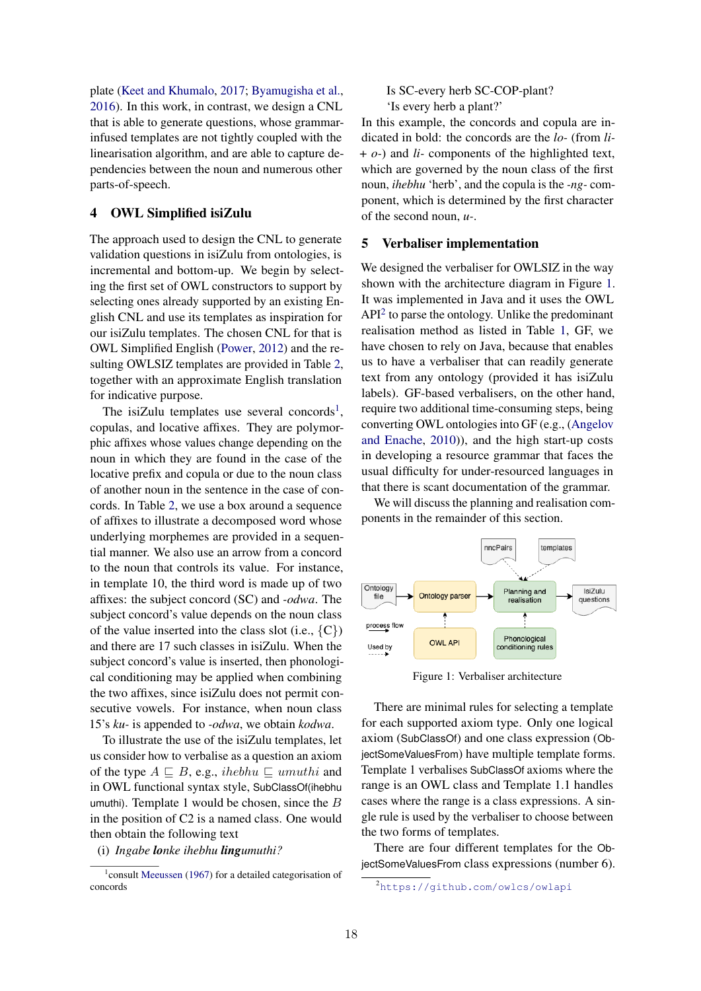plate (Keet and Khumalo, 2017; Byamugisha et al., 2016). In this work, in contrast, we design a CNL that is able to generate questions, whose grammarinfused templates are not tightly coupled with the linearisation algorithm, and are able to capture dependencies between the noun and numerous other parts-of-speech.

# 4 OWL Simplified isiZulu

The approach used to design the CNL to generate validation questions in isiZulu from ontologies, is incremental and bottom-up. We begin by selecting the first set of OWL constructors to support by selecting ones already supported by an existing English CNL and use its templates as inspiration for our isiZulu templates. The chosen CNL for that is OWL Simplified English (Power, 2012) and the resulting OWLSIZ templates are provided in Table 2, together with an approximate English translation for indicative purpose.

The isiZulu templates use several concords<sup>1</sup>, copulas, and locative affixes. They are polymorphic affixes whose values change depending on the noun in which they are found in the case of the locative prefix and copula or due to the noun class of another noun in the sentence in the case of concords. In Table 2, we use a box around a sequence of affixes to illustrate a decomposed word whose underlying morphemes are provided in a sequential manner. We also use an arrow from a concord to the noun that controls its value. For instance, in template 10, the third word is made up of two affixes: the subject concord (SC) and *-odwa*. The subject concord's value depends on the noun class of the value inserted into the class slot (i.e.,  $\{C\}$ ) and there are 17 such classes in isiZulu. When the subject concord's value is inserted, then phonological conditioning may be applied when combining the two affixes, since isiZulu does not permit consecutive vowels. For instance, when noun class 15's *ku-* is appended to *-odwa*, we obtain *kodwa*.

To illustrate the use of the isiZulu templates, let us consider how to verbalise as a question an axiom of the type  $A \sqsubseteq B$ , e.g., ihebhu  $\sqsubseteq$  umuthi and in OWL functional syntax style, SubClassOf(ihebhu umuthi). Template 1 would be chosen, since the  $B$ in the position of C2 is a named class. One would then obtain the following text

(i) *Ingabe lonke ihebhu lingumuthi?*

### Is SC-every herb SC-COP-plant? 'Is every herb a plant?'

In this example, the concords and copula are indicated in bold: the concords are the *lo-* (from *li-* + *o-*) and *li-* components of the highlighted text, which are governed by the noun class of the first noun, *ihebhu* 'herb', and the copula is the *-ng-* component, which is determined by the first character of the second noun, *u-*.

#### 5 Verbaliser implementation

We designed the verbaliser for OWLSIZ in the way shown with the architecture diagram in Figure 1. It was implemented in Java and it uses the OWL  $API<sup>2</sup>$  to parse the ontology. Unlike the predominant realisation method as listed in Table 1, GF, we have chosen to rely on Java, because that enables us to have a verbaliser that can readily generate text from any ontology (provided it has isiZulu labels). GF-based verbalisers, on the other hand, require two additional time-consuming steps, being converting OWL ontologies into GF (e.g., (Angelov and Enache, 2010)), and the high start-up costs in developing a resource grammar that faces the usual difficulty for under-resourced languages in that there is scant documentation of the grammar.

We will discuss the planning and realisation components in the remainder of this section.



Figure 1: Verbaliser architecture

There are minimal rules for selecting a template for each supported axiom type. Only one logical axiom (SubClassOf) and one class expression (ObjectSomeValuesFrom) have multiple template forms. Template 1 verbalises SubClassOf axioms where the range is an OWL class and Template 1.1 handles cases where the range is a class expressions. A single rule is used by the verbaliser to choose between the two forms of templates.

There are four different templates for the ObjectSomeValuesFrom class expressions (number 6).

<sup>&</sup>lt;sup>1</sup> consult Meeussen (1967) for a detailed categorisation of concords

<sup>2</sup><https://github.com/owlcs/owlapi>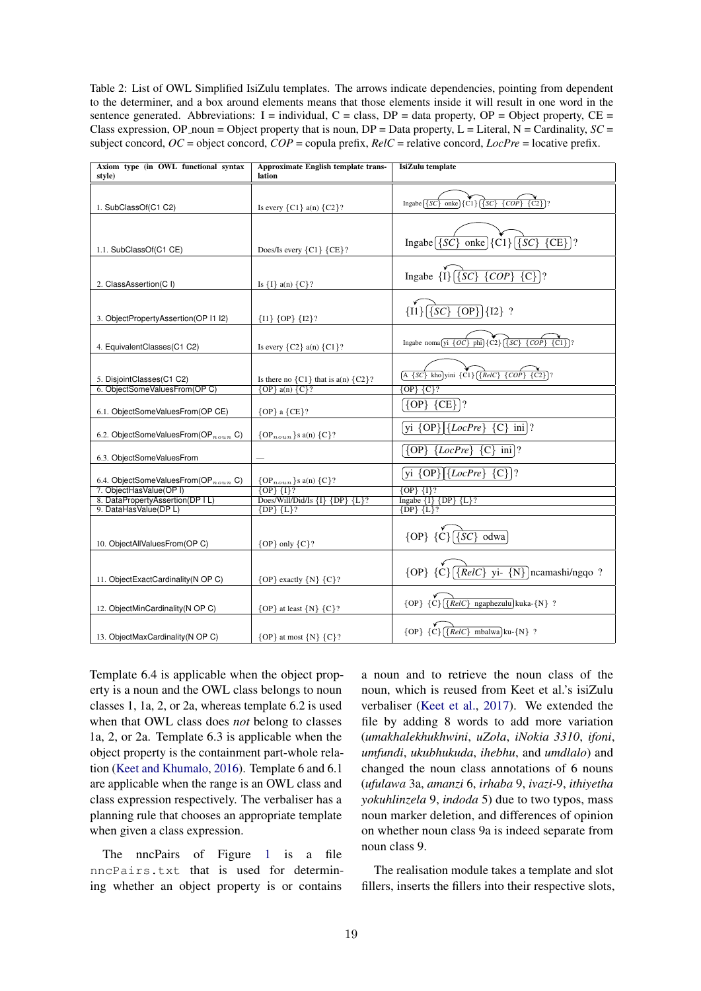Table 2: List of OWL Simplified IsiZulu templates. The arrows indicate dependencies, pointing from dependent to the determiner, and a box around elements means that those elements inside it will result in one word in the sentence generated. Abbreviations: I = individual, C = class, DP = data property, OP = Object property, CE = Class expression, OP\_noun = Object property that is noun,  $DP = Data$  property,  $L = Literal$ ,  $N = Cardinality$ ,  $SC =$ subject concord,  $OC =$  object concord,  $COP =$  copula prefix,  $RelC =$  relative concord,  $LocPre =$  locative prefix.

| Axiom type (in OWL functional syntax<br>style)              | Approximate English template trans-<br>lation             | IsiZulu template                                                                                                      |  |
|-------------------------------------------------------------|-----------------------------------------------------------|-----------------------------------------------------------------------------------------------------------------------|--|
|                                                             |                                                           |                                                                                                                       |  |
| 1. SubClassOf(C1 C2)                                        | Is every $\{C1\}$ a(n) $\{C2\}$ ?                         | Ingabe $\overline{\{SC\}}$ onke $\overline{\{C1\}}$ $\overline{\{SC\}}$ $\overline{\{COP\}}$<br>$\overline{\{C2\}}$ ? |  |
|                                                             |                                                           |                                                                                                                       |  |
| 1.1. SubClassOf(C1 CE)                                      | Does/Is every ${C1}$ ${CE}$ ?                             | Ingabe $\{SC\}$ onke $\{Cl\}$ $\{SC\}$ $\{CE\}$ ?                                                                     |  |
|                                                             |                                                           | Ingabe $\{I\}$ $\{SC\}$<br>$\{COP\}$<br>${C}$ ]?                                                                      |  |
| 2. ClassAssertion(C I)                                      | Is ${I}$ a(n) ${C}$ ?                                     |                                                                                                                       |  |
| 3. ObjectPropertyAssertion(OP I1 I2)                        | $\{I1\}$ $\{OP\}$ $\{I2\}$ ?                              | $\{I1\}$ [{SC} {OP}]{I2} ?                                                                                            |  |
| 4. EquivalentClasses(C1 C2)                                 | Is every $\{C2\}$ a(n) $\{C1\}$ ?                         | Ingabe noma <sup>[yi {OC}</sup> phi]{C2} [{SC} {COP} {C1}]?                                                           |  |
| 5. DisjointClasses(C1 C2)                                   | Is there no $\{C1\}$ that is $a(n)$ $\{C2\}$ ?            | $\overbrace{A \{SC\}}$ kho]yini $\{Cl\}\overbrace{\{RelC\}} \overbrace{\{COP\}} \overbrace{\{C2\}}$ ?                 |  |
| 6. ObjectSomeValuesFrom(OP C)                               | ${OP}$ a(n) ${C}$ ?                                       | ${OP}$ ${C}$ ?                                                                                                        |  |
| 6.1. ObjectSomeValuesFrom(OP CE)                            | ${OP}$ a ${CE}$ ?                                         | $\{OP\}$ $\{CE\}$ ?                                                                                                   |  |
| 6.2. ObjectSomeValuesFrom( $OP_{noun}$ C)                   | $\{OP_{noun}\}\$ s a(n) $\{C\}$ ?                         | yi $\{OP\}$ [{ <i>LocPre</i> } {C} ini]?                                                                              |  |
| 6.3. ObjectSomeValuesFrom                                   |                                                           | $\{OP\}$ $\{LocPre\}$ $\{C\}$ ini]?                                                                                   |  |
| 6.4. ObjectSomeValuesFrom( $OP_{norm}$ C)                   | $\{OP_{noun}\}$ s a(n) $\{C\}$ ?                          | yi $\{OP\}$ $\{LocPre\}$ $\{C\}$ ?                                                                                    |  |
| 7. ObjectHasValue(OP I)<br>8. DataPropertyAssertion(DP   L) | $\{OP\}$ $\{I\}$ ?<br>Does/Will/Did/Is ${I}$ {DP} ${L}$ ? | $\{OP\}$ $\{I\}$ ?                                                                                                    |  |
| 9. DataHasValue(DP L)                                       | $\{DP\}$ $\{L\}$ ?                                        | Ingabe ${I}$ {DP} ${L}$ ?<br>$\{DP\}$ $\{L\}$ ?                                                                       |  |
|                                                             |                                                           |                                                                                                                       |  |
| 10. ObjectAllValuesFrom(OP C)                               | ${OP}$ only ${C}$ ?                                       | ${OP}$ ${C}$ $\overline{S}$ $\overline{S}$ odwa                                                                       |  |
|                                                             |                                                           | ${OP}$ ${C}$ ${RelC}$ yi- ${N}$ ncamashi/ngqo?                                                                        |  |
| 11. ObjectExactCardinality(N OP C)                          | ${OP}$ exactly ${N}$ ${C}$ ?                              |                                                                                                                       |  |
| 12. ObjectMinCardinality (N OP C)                           | ${OP}$ at least ${N} {C}$ ?                               | ${OP}$ ${C}$ ${RelC}$ ngaphezulu kuka-{N} ?                                                                           |  |
| 13. ObjectMaxCardinality (N OP C)                           | ${OP}$ at most ${N}$ ${C}$ ?                              | ${OP}$ ${C}$ ${RelC}$ mbalwa ku-{N} ?                                                                                 |  |

Template 6.4 is applicable when the object property is a noun and the OWL class belongs to noun classes 1, 1a, 2, or 2a, whereas template 6.2 is used when that OWL class does *not* belong to classes 1a, 2, or 2a. Template 6.3 is applicable when the object property is the containment part-whole relation (Keet and Khumalo, 2016). Template 6 and 6.1 are applicable when the range is an OWL class and class expression respectively. The verbaliser has a planning rule that chooses an appropriate template when given a class expression.

The nncPairs of Figure 1 is a file nncPairs.txt that is used for determining whether an object property is or contains

a noun and to retrieve the noun class of the noun, which is reused from Keet et al.'s isiZulu verbaliser (Keet et al., 2017). We extended the file by adding 8 words to add more variation (*umakhalekhukhwini*, *uZola*, *iNokia 3310*, *ifoni*, *umfundi*, *ukubhukuda*, *ihebhu*, and *umdlalo*) and changed the noun class annotations of 6 nouns (*ufulawa* 3a, *amanzi* 6, *irhaba* 9, *ivazi-*9, *ithiyetha yokuhlinzela* 9, *indoda* 5) due to two typos, mass noun marker deletion, and differences of opinion on whether noun class 9a is indeed separate from noun class 9.

The realisation module takes a template and slot fillers, inserts the fillers into their respective slots,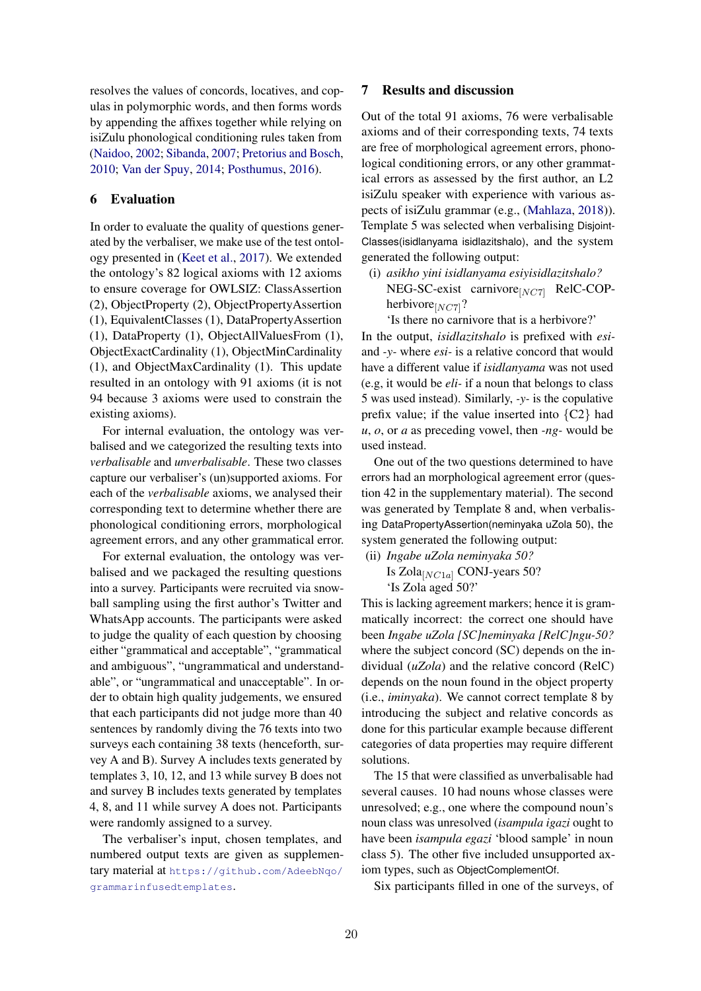resolves the values of concords, locatives, and copulas in polymorphic words, and then forms words by appending the affixes together while relying on isiZulu phonological conditioning rules taken from (Naidoo, 2002; Sibanda, 2007; Pretorius and Bosch, 2010; Van der Spuy, 2014; Posthumus, 2016).

# 6 Evaluation

In order to evaluate the quality of questions generated by the verbaliser, we make use of the test ontology presented in (Keet et al., 2017). We extended the ontology's 82 logical axioms with 12 axioms to ensure coverage for OWLSIZ: ClassAssertion (2), ObjectProperty (2), ObjectPropertyAssertion (1), EquivalentClasses (1), DataPropertyAssertion (1), DataProperty (1), ObjectAllValuesFrom (1), ObjectExactCardinality (1), ObjectMinCardinality (1), and ObjectMaxCardinality (1). This update resulted in an ontology with 91 axioms (it is not 94 because 3 axioms were used to constrain the existing axioms).

For internal evaluation, the ontology was verbalised and we categorized the resulting texts into *verbalisable* and *unverbalisable*. These two classes capture our verbaliser's (un)supported axioms. For each of the *verbalisable* axioms, we analysed their corresponding text to determine whether there are phonological conditioning errors, morphological agreement errors, and any other grammatical error.

For external evaluation, the ontology was verbalised and we packaged the resulting questions into a survey. Participants were recruited via snowball sampling using the first author's Twitter and WhatsApp accounts. The participants were asked to judge the quality of each question by choosing either "grammatical and acceptable", "grammatical and ambiguous", "ungrammatical and understandable", or "ungrammatical and unacceptable". In order to obtain high quality judgements, we ensured that each participants did not judge more than 40 sentences by randomly diving the 76 texts into two surveys each containing 38 texts (henceforth, survey A and B). Survey A includes texts generated by templates 3, 10, 12, and 13 while survey B does not and survey B includes texts generated by templates 4, 8, and 11 while survey A does not. Participants were randomly assigned to a survey.

The verbaliser's input, chosen templates, and numbered output texts are given as supplementary material at [https://github.com/AdeebNqo/](https://github.com/AdeebNqo/grammarinfusedtemplates) [grammarinfusedtemplates](https://github.com/AdeebNqo/grammarinfusedtemplates).

# 7 Results and discussion

Out of the total 91 axioms, 76 were verbalisable axioms and of their corresponding texts, 74 texts are free of morphological agreement errors, phonological conditioning errors, or any other grammatical errors as assessed by the first author, an L2 isiZulu speaker with experience with various aspects of isiZulu grammar (e.g., (Mahlaza, 2018)). Template 5 was selected when verbalising Disjoint-Classes(isidlanyama isidlazitshalo), and the system generated the following output:

(i) *asikho yini isidlanyama esiyisidlazitshalo?*  $NEG-SC\text{-}exist canivore<sub>[NC7]</sub>$  RelC-COPherbivore $_{[NC7]}$ ?

'Is there no carnivore that is a herbivore?'

In the output, *isidlazitshalo* is prefixed with *esi*and *-y-* where *esi-* is a relative concord that would have a different value if *isidlanyama* was not used (e.g, it would be *eli-* if a noun that belongs to class 5 was used instead). Similarly, *-y-* is the copulative prefix value; if the value inserted into  ${C2}$  had *u*, *o*, or *a* as preceding vowel, then *-ng-* would be used instead.

One out of the two questions determined to have errors had an morphological agreement error (question 42 in the supplementary material). The second was generated by Template 8 and, when verbalising DataPropertyAssertion(neminyaka uZola 50), the system generated the following output:

(ii) *Ingabe uZola neminyaka 50?* Is  $Zola$ [ $NC1a$ ] CONJ-years 50? 'Is Zola aged 50?'

This is lacking agreement markers; hence it is grammatically incorrect: the correct one should have been *Ingabe uZola [SC]neminyaka [RelC]ngu-50?* where the subject concord (SC) depends on the individual (*uZola*) and the relative concord (RelC) depends on the noun found in the object property (i.e., *iminyaka*). We cannot correct template 8 by introducing the subject and relative concords as done for this particular example because different categories of data properties may require different solutions.

The 15 that were classified as unverbalisable had several causes. 10 had nouns whose classes were unresolved; e.g., one where the compound noun's noun class was unresolved (*isampula igazi* ought to have been *isampula egazi* 'blood sample' in noun class 5). The other five included unsupported axiom types, such as ObjectComplementOf.

Six participants filled in one of the surveys, of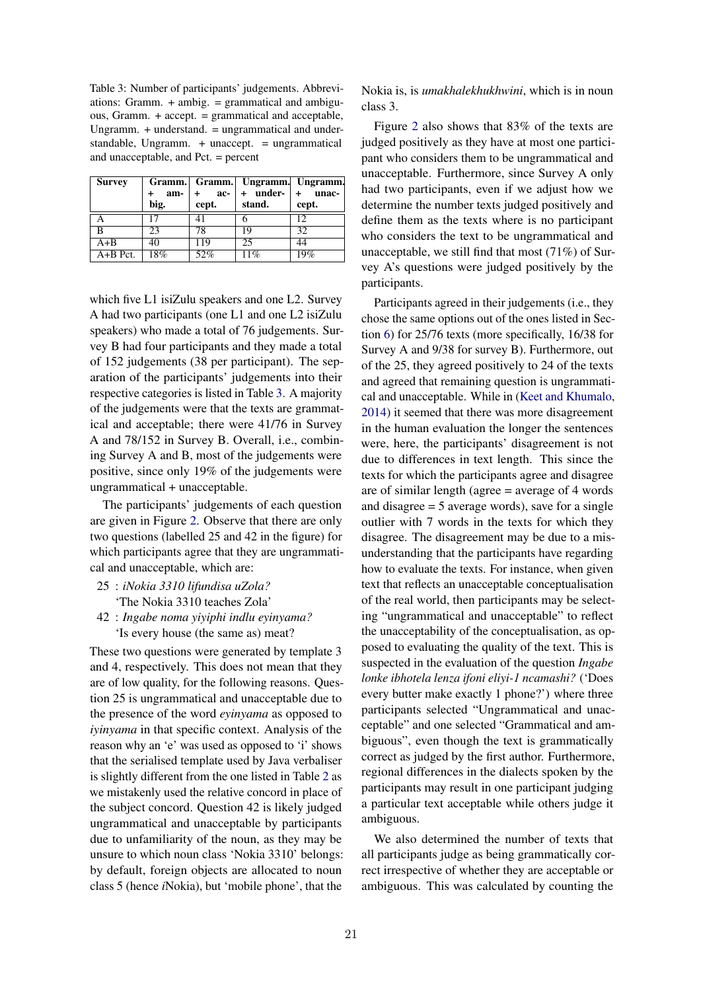Table 3: Number of participants' judgements. Abbreviations: Gramm. + ambig. = grammatical and ambiguous, Gramm. + accept. = grammatical and acceptable, Ungramm. + understand. = ungrammatical and understandable, Ungramm. + unaccept. = ungrammatical and unacceptable, and Pct. = percent

| <b>Survey</b> |      |         | Gramm. Gramm. Ungramm. Ungramm. |       |
|---------------|------|---------|---------------------------------|-------|
|               | am-  | $+$ ac- | $+$ under- $+$ unac-            |       |
|               | big. | cept.   | stand.                          | cept. |
|               |      | 41      |                                 | 12    |
| B             | 23   | 78      | 19                              | 32    |
| $A + B$       | 40   | 119     | 25                              | 44    |
| $A+B$ Pct.    | 18%  | 52%     | 11%                             | 19%   |

which five L1 isiZulu speakers and one L2. Survey A had two participants (one L1 and one L2 isiZulu speakers) who made a total of 76 judgements. Survey B had four participants and they made a total of 152 judgements (38 per participant). The separation of the participants' judgements into their respective categories is listed in Table 3. A majority of the judgements were that the texts are grammatical and acceptable; there were 41/76 in Survey A and 78/152 in Survey B. Overall, i.e., combining Survey A and B, most of the judgements were positive, since only 19% of the judgements were ungrammatical + unacceptable.

The participants' judgements of each question are given in Figure 2. Observe that there are only two questions (labelled 25 and 42 in the figure) for which participants agree that they are ungrammatical and unacceptable, which are:

- 25 : *iNokia 3310 lifundisa uZola?* 'The Nokia 3310 teaches Zola'
- 42 : *Ingabe noma yiyiphi indlu eyinyama?* 'Is every house (the same as) meat?

These two questions were generated by template 3 and 4, respectively. This does not mean that they are of low quality, for the following reasons. Question 25 is ungrammatical and unacceptable due to the presence of the word *eyinyama* as opposed to *iyinyama* in that specific context. Analysis of the reason why an 'e' was used as opposed to 'i' shows that the serialised template used by Java verbaliser is slightly different from the one listed in Table 2 as we mistakenly used the relative concord in place of the subject concord. Question 42 is likely judged ungrammatical and unacceptable by participants due to unfamiliarity of the noun, as they may be unsure to which noun class 'Nokia 3310' belongs: by default, foreign objects are allocated to noun class 5 (hence *i*Nokia), but 'mobile phone', that the

Nokia is, is *umakhalekhukhwini*, which is in noun class 3.

Figure 2 also shows that 83% of the texts are judged positively as they have at most one participant who considers them to be ungrammatical and unacceptable. Furthermore, since Survey A only had two participants, even if we adjust how we determine the number texts judged positively and define them as the texts where is no participant who considers the text to be ungrammatical and unacceptable, we still find that most (71%) of Survey A's questions were judged positively by the participants.

Participants agreed in their judgements (i.e., they chose the same options out of the ones listed in Section 6) for 25/76 texts (more specifically, 16/38 for Survey A and 9/38 for survey B). Furthermore, out of the 25, they agreed positively to 24 of the texts and agreed that remaining question is ungrammatical and unacceptable. While in (Keet and Khumalo, 2014) it seemed that there was more disagreement in the human evaluation the longer the sentences were, here, the participants' disagreement is not due to differences in text length. This since the texts for which the participants agree and disagree are of similar length (agree = average of 4 words and disagree = 5 average words), save for a single outlier with 7 words in the texts for which they disagree. The disagreement may be due to a misunderstanding that the participants have regarding how to evaluate the texts. For instance, when given text that reflects an unacceptable conceptualisation of the real world, then participants may be selecting "ungrammatical and unacceptable" to reflect the unacceptability of the conceptualisation, as opposed to evaluating the quality of the text. This is suspected in the evaluation of the question *Ingabe lonke ibhotela lenza ifoni eliyi-1 ncamashi?* ('Does every butter make exactly 1 phone?') where three participants selected "Ungrammatical and unacceptable" and one selected "Grammatical and ambiguous", even though the text is grammatically correct as judged by the first author. Furthermore, regional differences in the dialects spoken by the participants may result in one participant judging a particular text acceptable while others judge it ambiguous.

We also determined the number of texts that all participants judge as being grammatically correct irrespective of whether they are acceptable or ambiguous. This was calculated by counting the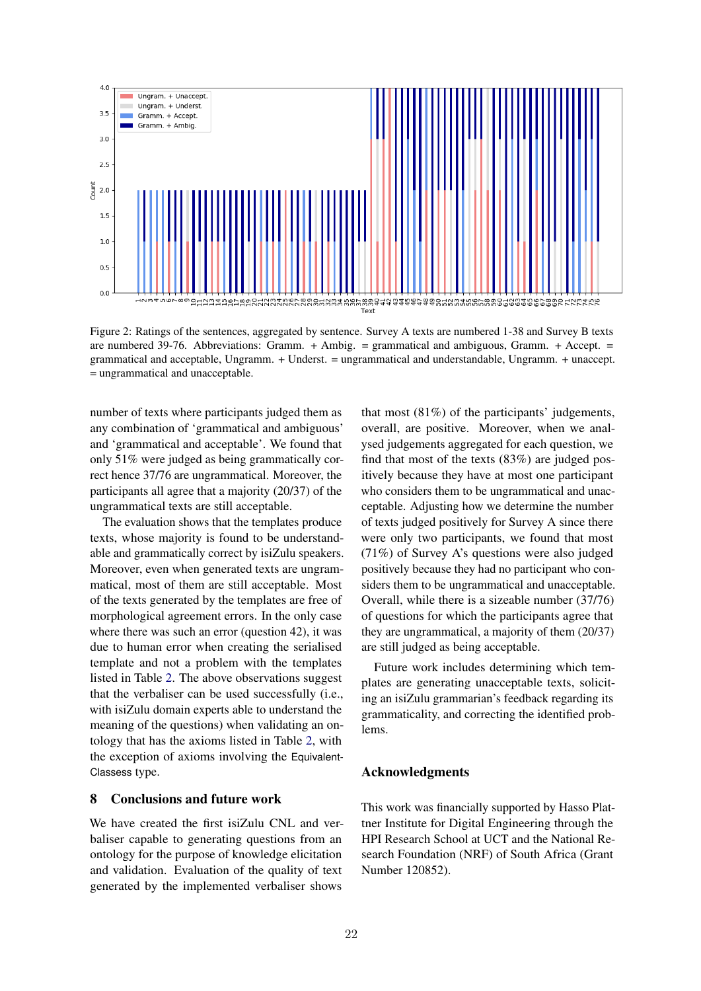

Figure 2: Ratings of the sentences, aggregated by sentence. Survey A texts are numbered 1-38 and Survey B texts are numbered 39-76. Abbreviations: Gramm. + Ambig. = grammatical and ambiguous, Gramm. + Accept. = grammatical and acceptable, Ungramm. + Underst. = ungrammatical and understandable, Ungramm. + unaccept. = ungrammatical and unacceptable.

number of texts where participants judged them as any combination of 'grammatical and ambiguous' and 'grammatical and acceptable'. We found that only 51% were judged as being grammatically correct hence 37/76 are ungrammatical. Moreover, the participants all agree that a majority (20/37) of the ungrammatical texts are still acceptable.

The evaluation shows that the templates produce texts, whose majority is found to be understandable and grammatically correct by isiZulu speakers. Moreover, even when generated texts are ungrammatical, most of them are still acceptable. Most of the texts generated by the templates are free of morphological agreement errors. In the only case where there was such an error (question 42), it was due to human error when creating the serialised template and not a problem with the templates listed in Table 2. The above observations suggest that the verbaliser can be used successfully (i.e., with isiZulu domain experts able to understand the meaning of the questions) when validating an ontology that has the axioms listed in Table 2, with the exception of axioms involving the Equivalent-Classess type.

### 8 Conclusions and future work

We have created the first isiZulu CNL and verbaliser capable to generating questions from an ontology for the purpose of knowledge elicitation and validation. Evaluation of the quality of text generated by the implemented verbaliser shows that most (81%) of the participants' judgements, overall, are positive. Moreover, when we analysed judgements aggregated for each question, we find that most of the texts (83%) are judged positively because they have at most one participant who considers them to be ungrammatical and unacceptable. Adjusting how we determine the number of texts judged positively for Survey A since there were only two participants, we found that most (71%) of Survey A's questions were also judged positively because they had no participant who considers them to be ungrammatical and unacceptable. Overall, while there is a sizeable number (37/76) of questions for which the participants agree that they are ungrammatical, a majority of them (20/37) are still judged as being acceptable.

Future work includes determining which templates are generating unacceptable texts, soliciting an isiZulu grammarian's feedback regarding its grammaticality, and correcting the identified problems.

# Acknowledgments

This work was financially supported by Hasso Plattner Institute for Digital Engineering through the HPI Research School at UCT and the National Research Foundation (NRF) of South Africa (Grant Number 120852).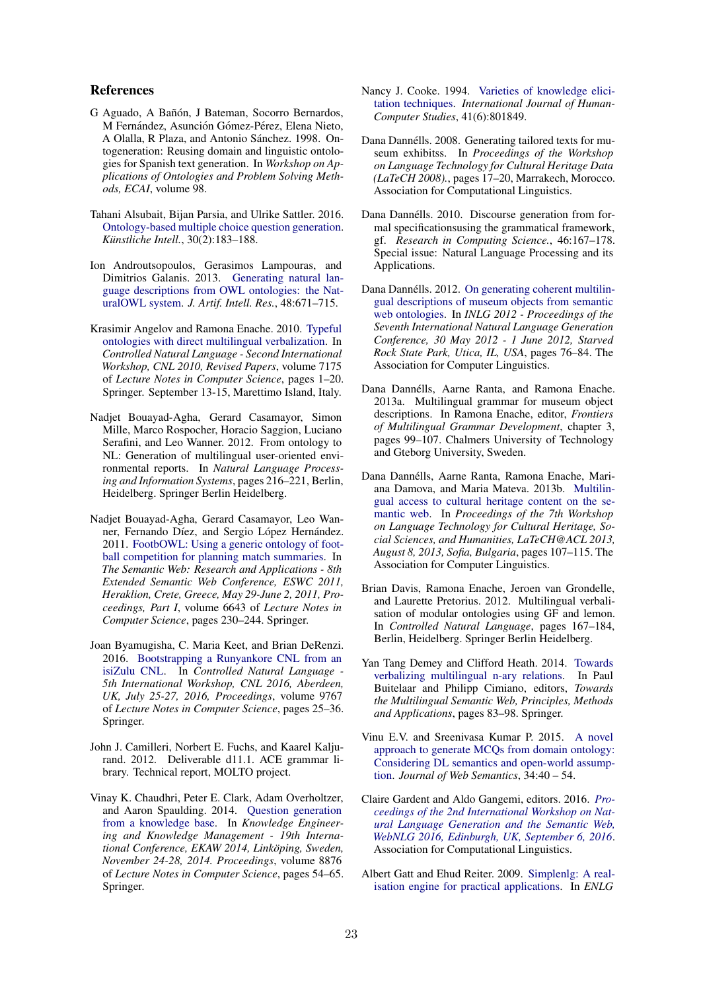# References

- G Aguado, A Bañón, J Bateman, Socorro Bernardos, M Fernández, Asunción Gómez-Pérez, Elena Nieto, A Olalla, R Plaza, and Antonio Sánchez. 1998. Ontogeneration: Reusing domain and linguistic ontologies for Spanish text generation. In *Workshop on Applications of Ontologies and Problem Solving Methods, ECAI*, volume 98.
- Tahani Alsubait, Bijan Parsia, and Ulrike Sattler. 2016. [Ontology-based multiple choice question generation.](https://doi.org/10.1007/s13218-015-0405-9) *Künstliche Intell.*, 30(2):183-188.
- Ion Androutsopoulos, Gerasimos Lampouras, and Dimitrios Galanis. 2013. [Generating natural lan](https://doi.org/10.1613/jair.4017)[guage descriptions from OWL ontologies: the Nat](https://doi.org/10.1613/jair.4017)[uralOWL system.](https://doi.org/10.1613/jair.4017) *J. Artif. Intell. Res.*, 48:671–715.
- Krasimir Angelov and Ramona Enache. 2010. [Typeful](https://doi.org/10.1007/978-3-642-31175-8_1) [ontologies with direct multilingual verbalization.](https://doi.org/10.1007/978-3-642-31175-8_1) In *Controlled Natural Language - Second International Workshop, CNL 2010, Revised Papers*, volume 7175 of *Lecture Notes in Computer Science*, pages 1–20. Springer. September 13-15, Marettimo Island, Italy.
- Nadjet Bouayad-Agha, Gerard Casamayor, Simon Mille, Marco Rospocher, Horacio Saggion, Luciano Serafini, and Leo Wanner. 2012. From ontology to NL: Generation of multilingual user-oriented environmental reports. In *Natural Language Processing and Information Systems*, pages 216–221, Berlin, Heidelberg. Springer Berlin Heidelberg.
- Nadjet Bouayad-Agha, Gerard Casamayor, Leo Wanner, Fernando Díez, and Sergio López Hernández. 2011. [FootbOWL: Using a generic ontology of foot](https://doi.org/10.1007/978-3-642-21034-1_16)[ball competition for planning match summaries.](https://doi.org/10.1007/978-3-642-21034-1_16) In *The Semantic Web: Research and Applications - 8th Extended Semantic Web Conference, ESWC 2011, Heraklion, Crete, Greece, May 29-June 2, 2011, Proceedings, Part I*, volume 6643 of *Lecture Notes in Computer Science*, pages 230–244. Springer.
- Joan Byamugisha, C. Maria Keet, and Brian DeRenzi. 2016. [Bootstrapping a Runyankore CNL from an](https://doi.org/10.1007/978-3-319-41498-0_3) [isiZulu CNL.](https://doi.org/10.1007/978-3-319-41498-0_3) In *Controlled Natural Language - 5th International Workshop, CNL 2016, Aberdeen, UK, July 25-27, 2016, Proceedings*, volume 9767 of *Lecture Notes in Computer Science*, pages 25–36. Springer.
- John J. Camilleri, Norbert E. Fuchs, and Kaarel Kaljurand. 2012. Deliverable d11.1. ACE grammar library. Technical report, MOLTO project.
- Vinay K. Chaudhri, Peter E. Clark, Adam Overholtzer, and Aaron Spaulding. 2014. [Question generation](https://doi.org/10.1007/978-3-319-13704-9_5) [from a knowledge base.](https://doi.org/10.1007/978-3-319-13704-9_5) In *Knowledge Engineering and Knowledge Management - 19th International Conference, EKAW 2014, Linkoping, Sweden, ¨ November 24-28, 2014. Proceedings*, volume 8876 of *Lecture Notes in Computer Science*, pages 54–65. Springer.
- Nancy J. Cooke. 1994. [Varieties of knowledge elici](https://doi.org/10.1006/ijhc.1994.1083)[tation techniques.](https://doi.org/10.1006/ijhc.1994.1083) *International Journal of Human-Computer Studies*, 41(6):801849.
- Dana Dannélls. 2008. Generating tailored texts for museum exhibitss. In *Proceedings of the Workshop on Language Technology for Cultural Heritage Data (LaTeCH 2008).*, pages 17–20, Marrakech, Morocco. Association for Computational Linguistics.
- Dana Dannélls. 2010. Discourse generation from formal specificationsusing the grammatical framework, gf. *Research in Computing Science.*, 46:167–178. Special issue: Natural Language Processing and its Applications.
- Dana Dannélls. 2012. [On generating coherent multilin](http://www.aclweb.org/anthology/W12-1512)[gual descriptions of museum objects from semantic](http://www.aclweb.org/anthology/W12-1512) [web ontologies.](http://www.aclweb.org/anthology/W12-1512) In *INLG 2012 - Proceedings of the Seventh International Natural Language Generation Conference, 30 May 2012 - 1 June 2012, Starved Rock State Park, Utica, IL, USA*, pages 76–84. The Association for Computer Linguistics.
- Dana Dannélls, Aarne Ranta, and Ramona Enache. 2013a. Multilingual grammar for museum object descriptions. In Ramona Enache, editor, *Frontiers of Multilingual Grammar Development*, chapter 3, pages 99–107. Chalmers University of Technology and Gteborg University, Sweden.
- Dana Dannells, Aarne Ranta, Ramona Enache, Mari- ´ ana Damova, and Maria Mateva. 2013b. [Multilin](http://aclweb.org/anthology/W/W13/W13-2715.pdf)[gual access to cultural heritage content on the se](http://aclweb.org/anthology/W/W13/W13-2715.pdf)[mantic web.](http://aclweb.org/anthology/W/W13/W13-2715.pdf) In *Proceedings of the 7th Workshop on Language Technology for Cultural Heritage, Social Sciences, and Humanities, LaTeCH@ACL 2013, August 8, 2013, Sofia, Bulgaria*, pages 107–115. The Association for Computer Linguistics.
- Brian Davis, Ramona Enache, Jeroen van Grondelle, and Laurette Pretorius. 2012. Multilingual verbalisation of modular ontologies using GF and lemon. In *Controlled Natural Language*, pages 167–184, Berlin, Heidelberg. Springer Berlin Heidelberg.
- Yan Tang Demey and Clifford Heath. 2014. [Towards](https://doi.org/10.1007/978-3-662-43585-4_6) [verbalizing multilingual n-ary relations.](https://doi.org/10.1007/978-3-662-43585-4_6) In Paul Buitelaar and Philipp Cimiano, editors, *Towards the Multilingual Semantic Web, Principles, Methods and Applications*, pages 83–98. Springer.
- Vinu E.V. and Sreenivasa Kumar P. 2015. [A novel](https://doi.org/https://doi.org/10.1016/j.websem.2015.05.005) [approach to generate MCQs from domain ontology:](https://doi.org/https://doi.org/10.1016/j.websem.2015.05.005) [Considering DL semantics and open-world assump](https://doi.org/https://doi.org/10.1016/j.websem.2015.05.005)[tion.](https://doi.org/https://doi.org/10.1016/j.websem.2015.05.005) *Journal of Web Semantics*, 34:40 – 54.
- Claire Gardent and Aldo Gangemi, editors. 2016. *[Pro](https://aclanthology.info/volumes/proceedings-of-the-2nd-international-workshop-on-natural-language-generation-and-the-semantic-web-webnlg-2016)[ceedings of the 2nd International Workshop on Nat](https://aclanthology.info/volumes/proceedings-of-the-2nd-international-workshop-on-natural-language-generation-and-the-semantic-web-webnlg-2016)[ural Language Generation and the Semantic Web,](https://aclanthology.info/volumes/proceedings-of-the-2nd-international-workshop-on-natural-language-generation-and-the-semantic-web-webnlg-2016) [WebNLG 2016, Edinburgh, UK, September 6, 2016](https://aclanthology.info/volumes/proceedings-of-the-2nd-international-workshop-on-natural-language-generation-and-the-semantic-web-webnlg-2016)*. Association for Computational Linguistics.
- Albert Gatt and Ehud Reiter. 2009. [Simplenlg: A real](https://www.aclweb.org/anthology/W09-0613/)[isation engine for practical applications.](https://www.aclweb.org/anthology/W09-0613/) In *ENLG*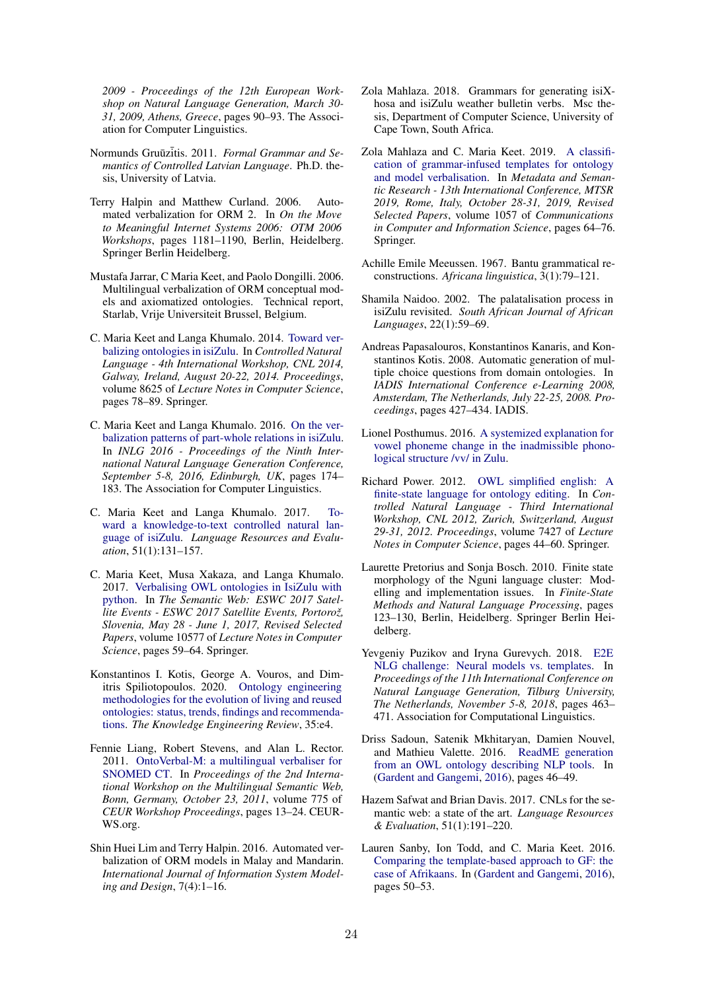*2009 - Proceedings of the 12th European Workshop on Natural Language Generation, March 30- 31, 2009, Athens, Greece*, pages 90–93. The Association for Computer Linguistics.

- Normunds Gruūzitis. 2011. Formal Grammar and Se*mantics of Controlled Latvian Language*. Ph.D. thesis, University of Latvia.
- Terry Halpin and Matthew Curland. 2006. Automated verbalization for ORM 2. In *On the Move to Meaningful Internet Systems 2006: OTM 2006 Workshops*, pages 1181–1190, Berlin, Heidelberg. Springer Berlin Heidelberg.
- Mustafa Jarrar, C Maria Keet, and Paolo Dongilli. 2006. Multilingual verbalization of ORM conceptual models and axiomatized ontologies. Technical report, Starlab, Vrije Universiteit Brussel, Belgium.
- C. Maria Keet and Langa Khumalo. 2014. [Toward ver](https://doi.org/10.1007/978-3-319-10223-8_8)[balizing ontologies in isiZulu.](https://doi.org/10.1007/978-3-319-10223-8_8) In *Controlled Natural Language - 4th International Workshop, CNL 2014, Galway, Ireland, August 20-22, 2014. Proceedings*, volume 8625 of *Lecture Notes in Computer Science*, pages 78–89. Springer.
- C. Maria Keet and Langa Khumalo. 2016. [On the ver](https://doi.org/10.18653/v1/w16-6629)[balization patterns of part-whole relations in isiZulu.](https://doi.org/10.18653/v1/w16-6629) In *INLG 2016 - Proceedings of the Ninth International Natural Language Generation Conference, September 5-8, 2016, Edinburgh, UK*, pages 174– 183. The Association for Computer Linguistics.
- C. Maria Keet and Langa Khumalo. 2017. [To](https://doi.org/10.1007/s10579-016-9340-0)[ward a knowledge-to-text controlled natural lan](https://doi.org/10.1007/s10579-016-9340-0)[guage of isiZulu.](https://doi.org/10.1007/s10579-016-9340-0) *Language Resources and Evaluation*, 51(1):131–157.
- C. Maria Keet, Musa Xakaza, and Langa Khumalo. 2017. [Verbalising OWL ontologies in IsiZulu with](https://doi.org/10.1007/978-3-319-70407-4_12) [python.](https://doi.org/10.1007/978-3-319-70407-4_12) In *The Semantic Web: ESWC 2017 Satel*lite Events - ESWC 2017 Satellite Events, Portorož, *Slovenia, May 28 - June 1, 2017, Revised Selected Papers*, volume 10577 of *Lecture Notes in Computer Science*, pages 59–64. Springer.
- Konstantinos I. Kotis, George A. Vouros, and Dimitris Spiliotopoulos. 2020. [Ontology engineering](https://doi.org/10.1017/S0269888920000065) [methodologies for the evolution of living and reused](https://doi.org/10.1017/S0269888920000065) [ontologies: status, trends, findings and recommenda](https://doi.org/10.1017/S0269888920000065)[tions.](https://doi.org/10.1017/S0269888920000065) *The Knowledge Engineering Review*, 35:e4.
- Fennie Liang, Robert Stevens, and Alan L. Rector. 2011. [OntoVerbal-M: a multilingual verbaliser for](http://ceur-ws.org/Vol-775/paper2.pdf) [SNOMED CT.](http://ceur-ws.org/Vol-775/paper2.pdf) In *Proceedings of the 2nd International Workshop on the Multilingual Semantic Web, Bonn, Germany, October 23, 2011*, volume 775 of *CEUR Workshop Proceedings*, pages 13–24. CEUR-WS.org.
- Shin Huei Lim and Terry Halpin. 2016. Automated verbalization of ORM models in Malay and Mandarin. *International Journal of Information System Modeling and Design*, 7(4):1–16.
- Zola Mahlaza. 2018. Grammars for generating isiXhosa and isiZulu weather bulletin verbs. Msc thesis, Department of Computer Science, University of Cape Town, South Africa.
- Zola Mahlaza and C. Maria Keet. 2019. [A classifi](https://doi.org/10.1007/978-3-030-36599-8_6)[cation of grammar-infused templates for ontology](https://doi.org/10.1007/978-3-030-36599-8_6) [and model verbalisation.](https://doi.org/10.1007/978-3-030-36599-8_6) In *Metadata and Semantic Research - 13th International Conference, MTSR 2019, Rome, Italy, October 28-31, 2019, Revised Selected Papers*, volume 1057 of *Communications in Computer and Information Science*, pages 64–76. Springer.
- Achille Emile Meeussen. 1967. Bantu grammatical reconstructions. *Africana linguistica*, 3(1):79–121.
- Shamila Naidoo. 2002. The palatalisation process in isiZulu revisited. *South African Journal of African Languages*, 22(1):59–69.
- Andreas Papasalouros, Konstantinos Kanaris, and Konstantinos Kotis. 2008. Automatic generation of multiple choice questions from domain ontologies. In *IADIS International Conference e-Learning 2008, Amsterdam, The Netherlands, July 22-25, 2008. Proceedings*, pages 427–434. IADIS.
- Lionel Posthumus. 2016. [A systemized explanation for](https://doi.org/10.13140/RG.2.2.19022.05449) [vowel phoneme change in the inadmissible phono](https://doi.org/10.13140/RG.2.2.19022.05449)[logical structure /vv/ in Zulu.](https://doi.org/10.13140/RG.2.2.19022.05449)
- Richard Power. 2012. [OWL simplified english: A](https://doi.org/10.1007/978-3-642-32612-7_4) [finite-state language for ontology editing.](https://doi.org/10.1007/978-3-642-32612-7_4) In *Controlled Natural Language - Third International Workshop, CNL 2012, Zurich, Switzerland, August 29-31, 2012. Proceedings*, volume 7427 of *Lecture Notes in Computer Science*, pages 44–60. Springer.
- Laurette Pretorius and Sonja Bosch. 2010. Finite state morphology of the Nguni language cluster: Modelling and implementation issues. In *Finite-State Methods and Natural Language Processing*, pages 123–130, Berlin, Heidelberg. Springer Berlin Heidelberg.
- Yevgeniy Puzikov and Iryna Gurevych. 2018. [E2E](https://doi.org/10.18653/v1/w18-6557) [NLG challenge: Neural models vs. templates.](https://doi.org/10.18653/v1/w18-6557) In *Proceedings of the 11th International Conference on Natural Language Generation, Tilburg University, The Netherlands, November 5-8, 2018*, pages 463– 471. Association for Computational Linguistics.
- Driss Sadoun, Satenik Mkhitaryan, Damien Nouvel, and Mathieu Valette. 2016. [ReadME generation](https://www.aclweb.org/anthology/W16-3509/) [from an OWL ontology describing NLP tools.](https://www.aclweb.org/anthology/W16-3509/) In (Gardent and Gangemi, 2016), pages 46–49.
- Hazem Safwat and Brian Davis. 2017. CNLs for the semantic web: a state of the art. *Language Resources & Evaluation*, 51(1):191–220.
- Lauren Sanby, Ion Todd, and C. Maria Keet. 2016. [Comparing the template-based approach to GF: the](https://aclanthology.info/papers/W16-3510/w16-3510) [case of Afrikaans.](https://aclanthology.info/papers/W16-3510/w16-3510) In (Gardent and Gangemi, 2016), pages 50–53.